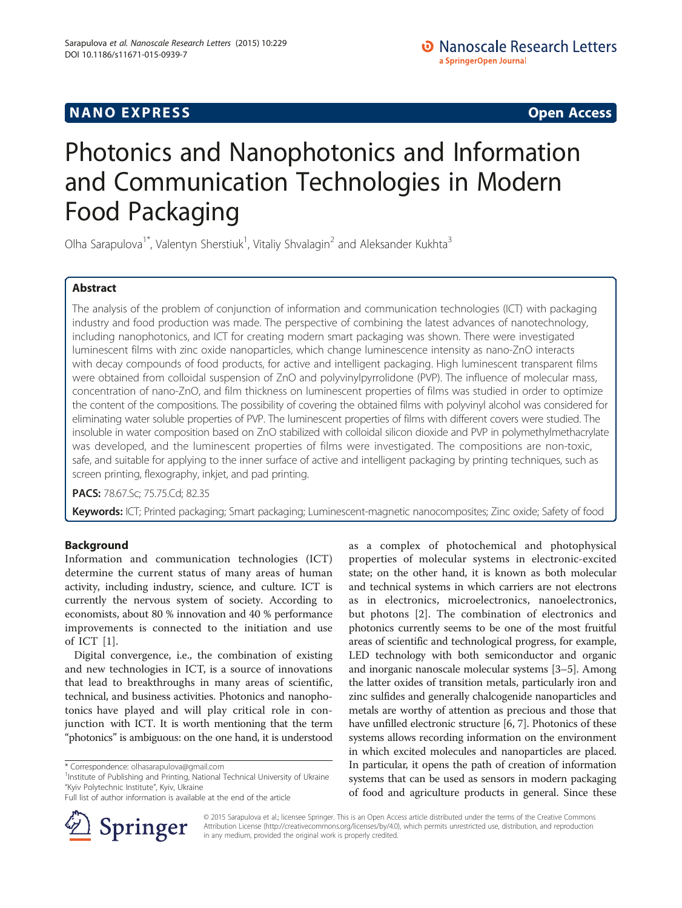# **NANO EXPRESS** Open Access and the set of the set of the set of the set of the set of the set of the set of the set of the set of the set of the set of the set of the set of the set of the set of the set of the set of the

# Photonics and Nanophotonics and Information and Communication Technologies in Modern Food Packaging

Olha Sarapulova<sup>1\*</sup>, Valentyn Sherstiuk<sup>1</sup>, Vitaliy Shvalagin<sup>2</sup> and Aleksander Kukhta<sup>3</sup>

# Abstract

The analysis of the problem of conjunction of information and communication technologies (ICT) with packaging industry and food production was made. The perspective of combining the latest advances of nanotechnology, including nanophotonics, and ICT for creating modern smart packaging was shown. There were investigated luminescent films with zinc oxide nanoparticles, which change luminescence intensity as nano-ZnO interacts with decay compounds of food products, for active and intelligent packaging. High luminescent transparent films were obtained from colloidal suspension of ZnO and polyvinylpyrrolidone (PVP). The influence of molecular mass, concentration of nano-ZnO, and film thickness on luminescent properties of films was studied in order to optimize the content of the compositions. The possibility of covering the obtained films with polyvinyl alcohol was considered for eliminating water soluble properties of PVP. The luminescent properties of films with different covers were studied. The insoluble in water composition based on ZnO stabilized with colloidal silicon dioxide and PVP in polymethylmethacrylate was developed, and the luminescent properties of films were investigated. The compositions are non-toxic, safe, and suitable for applying to the inner surface of active and intelligent packaging by printing techniques, such as screen printing, flexography, inkjet, and pad printing.

PACS: 78.67.Sc; 75.75.Cd; 82.35

Keywords: ICT; Printed packaging; Smart packaging; Luminescent-magnetic nanocomposites; Zinc oxide; Safety of food

# Background

Information and communication technologies (ICT) determine the current status of many areas of human activity, including industry, science, and culture. ICT is currently the nervous system of society. According to economists, about 80 % innovation and 40 % performance improvements is connected to the initiation and use of ICT [[1\]](#page-7-0).

Digital convergence, i.e., the combination of existing and new technologies in ICT, is a source of innovations that lead to breakthroughs in many areas of scientific, technical, and business activities. Photonics and nanophotonics have played and will play critical role in conjunction with ICT. It is worth mentioning that the term "photonics" is ambiguous: on the one hand, it is understood

Full list of author information is available at the end of the article



as a complex of photochemical and photophysical properties of molecular systems in electronic-excited state; on the other hand, it is known as both molecular and technical systems in which carriers are not electrons as in electronics, microelectronics, nanoelectronics, but photons [[2\]](#page-7-0). The combination of electronics and photonics currently seems to be one of the most fruitful areas of scientific and technological progress, for example, LED technology with both semiconductor and organic and inorganic nanoscale molecular systems [[3](#page-7-0)–[5](#page-7-0)]. Among the latter oxides of transition metals, particularly iron and zinc sulfides and generally chalcogenide nanoparticles and metals are worthy of attention as precious and those that have unfilled electronic structure [[6](#page-7-0), [7](#page-7-0)]. Photonics of these systems allows recording information on the environment in which excited molecules and nanoparticles are placed. In particular, it opens the path of creation of information systems that can be used as sensors in modern packaging of food and agriculture products in general. Since these

© 2015 Sarapulova et al.; licensee Springer. This is an Open Access article distributed under the terms of the Creative Commons Attribution License [\(http://creativecommons.org/licenses/by/4.0\)](http://creativecommons.org/licenses/by/4.0), which permits unrestricted use, distribution, and reproduction in any medium, provided the original work is properly credited.

<sup>\*</sup> Correspondence: [olhasarapulova@gmail.com](mailto:olhasarapulova@gmail.com) <sup>1</sup>

<sup>&</sup>lt;sup>1</sup>Institute of Publishing and Printing, National Technical University of Ukraine "Kyiv Polytechnic Institute", Kyiv, Ukraine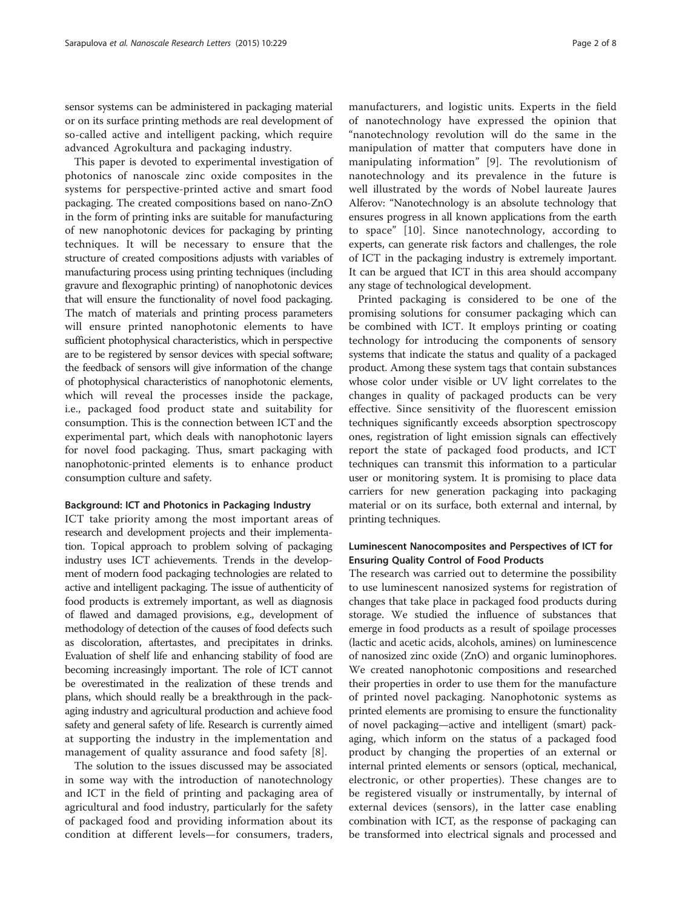sensor systems can be administered in packaging material or on its surface printing methods are real development of so-called active and intelligent packing, which require advanced Agrokultura and packaging industry.

This paper is devoted to experimental investigation of photonics of nanoscale zinc oxide composites in the systems for perspective-printed active and smart food packaging. The created compositions based on nano-ZnO in the form of printing inks are suitable for manufacturing of new nanophotonic devices for packaging by printing techniques. It will be necessary to ensure that the structure of created compositions adjusts with variables of manufacturing process using printing techniques (including gravure and flexographic printing) of nanophotonic devices that will ensure the functionality of novel food packaging. The match of materials and printing process parameters will ensure printed nanophotonic elements to have sufficient photophysical characteristics, which in perspective are to be registered by sensor devices with special software; the feedback of sensors will give information of the change of photophysical characteristics of nanophotonic elements, which will reveal the processes inside the package, i.e., packaged food product state and suitability for consumption. This is the connection between ICT and the experimental part, which deals with nanophotonic layers for novel food packaging. Thus, smart packaging with nanophotonic-printed elements is to enhance product consumption culture and safety.

## Background: ICT and Photonics in Packaging Industry

ICT take priority among the most important areas of research and development projects and their implementation. Topical approach to problem solving of packaging industry uses ICT achievements. Trends in the development of modern food packaging technologies are related to active and intelligent packaging. The issue of authenticity of food products is extremely important, as well as diagnosis of flawed and damaged provisions, e.g., development of methodology of detection of the causes of food defects such as discoloration, aftertastes, and precipitates in drinks. Evaluation of shelf life and enhancing stability of food are becoming increasingly important. The role of ICT cannot be overestimated in the realization of these trends and plans, which should really be a breakthrough in the packaging industry and agricultural production and achieve food safety and general safety of life. Research is currently aimed at supporting the industry in the implementation and management of quality assurance and food safety [\[8](#page-7-0)].

The solution to the issues discussed may be associated in some way with the introduction of nanotechnology and ICT in the field of printing and packaging area of agricultural and food industry, particularly for the safety of packaged food and providing information about its condition at different levels—for consumers, traders,

manufacturers, and logistic units. Experts in the field of nanotechnology have expressed the opinion that "nanotechnology revolution will do the same in the manipulation of matter that computers have done in manipulating information" [[9](#page-7-0)]. The revolutionism of nanotechnology and its prevalence in the future is well illustrated by the words of Nobel laureate Jaures Alferov: "Nanotechnology is an absolute technology that ensures progress in all known applications from the earth to space" [[10](#page-7-0)]. Since nanotechnology, according to experts, can generate risk factors and challenges, the role of ICT in the packaging industry is extremely important. It can be argued that ICT in this area should accompany any stage of technological development.

Printed packaging is considered to be one of the promising solutions for consumer packaging which can be combined with ICT. It employs printing or coating technology for introducing the components of sensory systems that indicate the status and quality of a packaged product. Among these system tags that contain substances whose color under visible or UV light correlates to the changes in quality of packaged products can be very effective. Since sensitivity of the fluorescent emission techniques significantly exceeds absorption spectroscopy ones, registration of light emission signals can effectively report the state of packaged food products, and ICT techniques can transmit this information to a particular user or monitoring system. It is promising to place data carriers for new generation packaging into packaging material or on its surface, both external and internal, by printing techniques.

# Luminescent Nanocomposites and Perspectives of ICT for Ensuring Quality Control of Food Products

The research was carried out to determine the possibility to use luminescent nanosized systems for registration of changes that take place in packaged food products during storage. We studied the influence of substances that emerge in food products as a result of spoilage processes (lactic and acetic acids, alcohols, amines) on luminescence of nanosized zinc oxide (ZnO) and organic luminophores. We created nanophotonic compositions and researched their properties in order to use them for the manufacture of printed novel packaging. Nanophotonic systems as printed elements are promising to ensure the functionality of novel packaging—active and intelligent (smart) packaging, which inform on the status of a packaged food product by changing the properties of an external or internal printed elements or sensors (optical, mechanical, electronic, or other properties). These changes are to be registered visually or instrumentally, by internal of external devices (sensors), in the latter case enabling combination with ICT, as the response of packaging can be transformed into electrical signals and processed and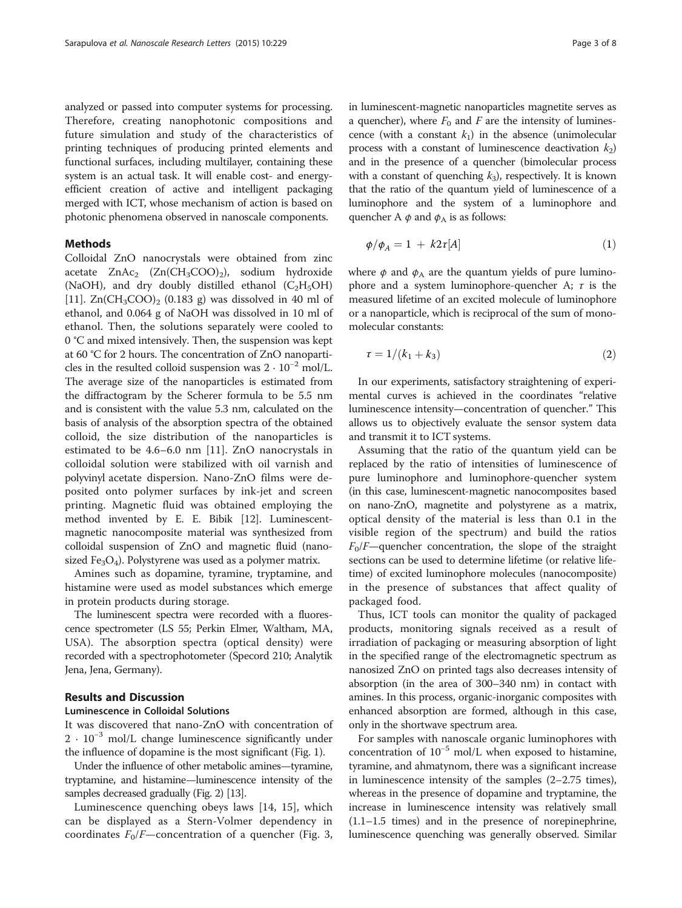analyzed or passed into computer systems for processing. Therefore, creating nanophotonic compositions and future simulation and study of the characteristics of printing techniques of producing printed elements and functional surfaces, including multilayer, containing these system is an actual task. It will enable cost- and energyefficient creation of active and intelligent packaging merged with ICT, whose mechanism of action is based on photonic phenomena observed in nanoscale components.

# Methods

Colloidal ZnO nanocrystals were obtained from zinc acetate  $ZnAc_2$   $(Zn(CH_3COO)_2)$ , sodium hydroxide (NaOH), and dry doubly distilled ethanol  $(C_2H_5OH)$ [[11\]](#page-7-0).  $\text{Zn}(\text{CH}_3\text{COO})_2$  (0.183 g) was dissolved in 40 ml of ethanol, and 0.064 g of NaOH was dissolved in 10 ml of ethanol. Then, the solutions separately were cooled to 0 °C and mixed intensively. Then, the suspension was kept at 60 °C for 2 hours. The concentration of ZnO nanoparticles in the resulted colloid suspension was  $2 \cdot 10^{-2}$  mol/L. The average size of the nanoparticles is estimated from the diffractogram by the Scherer formula to be 5.5 nm and is consistent with the value 5.3 nm, calculated on the basis of analysis of the absorption spectra of the obtained colloid, the size distribution of the nanoparticles is estimated to be 4.6–6.0 nm [\[11](#page-7-0)]. ZnO nanocrystals in colloidal solution were stabilized with oil varnish and polyvinyl acetate dispersion. Nano-ZnO films were deposited onto polymer surfaces by ink-jet and screen printing. Magnetic fluid was obtained employing the method invented by E. E. Bibik [[12](#page-7-0)]. Luminescentmagnetic nanocomposite material was synthesized from colloidal suspension of ZnO and magnetic fluid (nanosized  $Fe<sub>3</sub>O<sub>4</sub>$ ). Polystyrene was used as a polymer matrix.

Amines such as dopamine, tyramine, tryptamine, and histamine were used as model substances which emerge in protein products during storage.

The luminescent spectra were recorded with a fluorescence spectrometer (LS 55; Perkin Elmer, Waltham, MA, USA). The absorption spectra (optical density) were recorded with a spectrophotometer (Specord 210; Analytik Jena, Jena, Germany).

# Results and Discussion

# Luminescence in Colloidal Solutions

It was discovered that nano-ZnO with concentration of 2 · 10<sup>-3</sup> mol/L change luminescence significantly under the influence of dopamine is the most significant (Fig. [1\)](#page-3-0).

Under the influence of other metabolic amines—tyramine, tryptamine, and histamine—luminescence intensity of the samples decreased gradually (Fig. [2](#page-3-0)) [\[13](#page-7-0)].

Luminescence quenching obeys laws [\[14](#page-7-0), [15\]](#page-7-0), which can be displayed as a Stern-Volmer dependency in coordinates  $F_0/F$ —concentration of a quencher (Fig. [3](#page-4-0), in luminescent-magnetic nanoparticles magnetite serves as a quencher), where  $F_0$  and F are the intensity of luminescence (with a constant  $k_1$ ) in the absence (unimolecular process with a constant of luminescence deactivation  $k_2$ ) and in the presence of a quencher (bimolecular process with a constant of quenching  $k_3$ ), respectively. It is known that the ratio of the quantum yield of luminescence of a luminophore and the system of a luminophore and quencher A  $\phi$  and  $\phi_A$  is as follows:

$$
\phi/\phi_A = 1 + k2\tau[A] \tag{1}
$$

where  $\phi$  and  $\phi_A$  are the quantum yields of pure luminophore and a system luminophore-quencher A;  $\tau$  is the measured lifetime of an excited molecule of luminophore or a nanoparticle, which is reciprocal of the sum of monomolecular constants:

$$
\tau = 1/(k_1 + k_3) \tag{2}
$$

In our experiments, satisfactory straightening of experimental curves is achieved in the coordinates "relative luminescence intensity—concentration of quencher." This allows us to objectively evaluate the sensor system data and transmit it to ICT systems.

Assuming that the ratio of the quantum yield can be replaced by the ratio of intensities of luminescence of pure luminophore and luminophore-quencher system (in this case, luminescent-magnetic nanocomposites based on nano-ZnO, magnetite and polystyrene as a matrix, optical density of the material is less than 0.1 in the visible region of the spectrum) and build the ratios  $F_0/F$ —quencher concentration, the slope of the straight sections can be used to determine lifetime (or relative lifetime) of excited luminophore molecules (nanocomposite) in the presence of substances that affect quality of packaged food.

Thus, ICT tools can monitor the quality of packaged products, monitoring signals received as a result of irradiation of packaging or measuring absorption of light in the specified range of the electromagnetic spectrum as nanosized ZnO on printed tags also decreases intensity of absorption (in the area of 300–340 nm) in contact with amines. In this process, organic-inorganic composites with enhanced absorption are formed, although in this case, only in the shortwave spectrum area.

For samples with nanoscale organic luminophores with concentration of  $10^{-5}$  mol/L when exposed to histamine, tyramine, and ahmatynom, there was a significant increase in luminescence intensity of the samples (2–2.75 times), whereas in the presence of dopamine and tryptamine, the increase in luminescence intensity was relatively small (1.1–1.5 times) and in the presence of norepinephrine, luminescence quenching was generally observed. Similar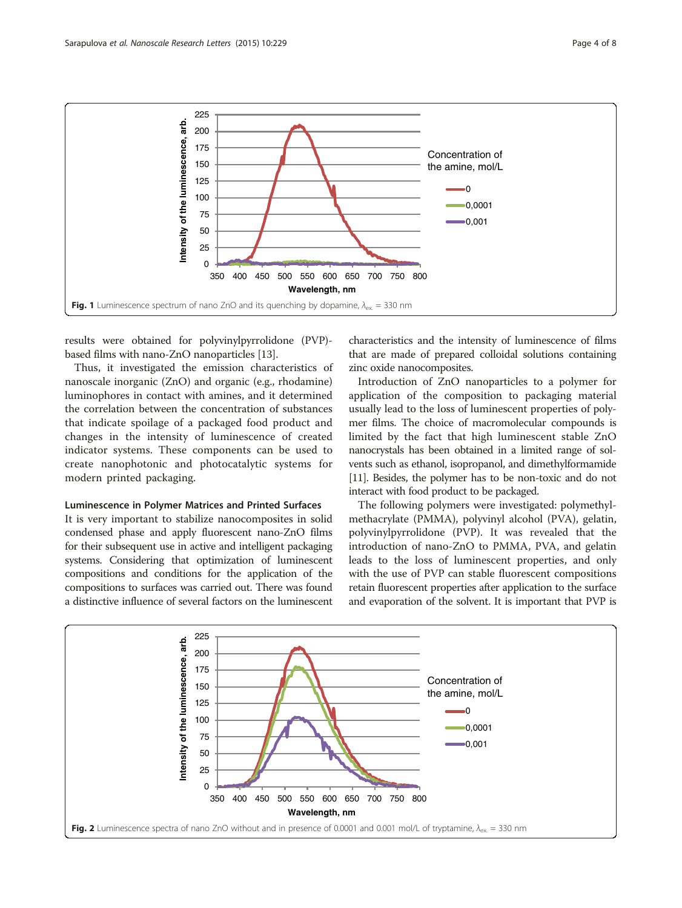<span id="page-3-0"></span>

results were obtained for polyvinylpyrrolidone (PVP) based films with nano-ZnO nanoparticles [\[13\]](#page-7-0).

Thus, it investigated the emission characteristics of nanoscale inorganic (ZnO) and organic (e.g., rhodamine) luminophores in contact with amines, and it determined the correlation between the concentration of substances that indicate spoilage of a packaged food product and changes in the intensity of luminescence of created indicator systems. These components can be used to create nanophotonic and photocatalytic systems for modern printed packaging.

## Luminescence in Polymer Matrices and Printed Surfaces

It is very important to stabilize nanocomposites in solid condensed phase and apply fluorescent nano-ZnO films for their subsequent use in active and intelligent packaging systems. Considering that optimization of luminescent compositions and conditions for the application of the compositions to surfaces was carried out. There was found a distinctive influence of several factors on the luminescent

characteristics and the intensity of luminescence of films that are made of prepared colloidal solutions containing zinc oxide nanocomposites.

Introduction of ZnO nanoparticles to a polymer for application of the composition to packaging material usually lead to the loss of luminescent properties of polymer films. The choice of macromolecular compounds is limited by the fact that high luminescent stable ZnO nanocrystals has been obtained in a limited range of solvents such as ethanol, isopropanol, and dimethylformamide [[11](#page-7-0)]. Besides, the polymer has to be non-toxic and do not interact with food product to be packaged.

The following polymers were investigated: polymethylmethacrylate (PMMA), polyvinyl alcohol (PVA), gelatin, polyvinylpyrrolidone (PVP). It was revealed that the introduction of nano-ZnO to PMMA, PVA, and gelatin leads to the loss of luminescent properties, and only with the use of PVP can stable fluorescent compositions retain fluorescent properties after application to the surface and evaporation of the solvent. It is important that PVP is

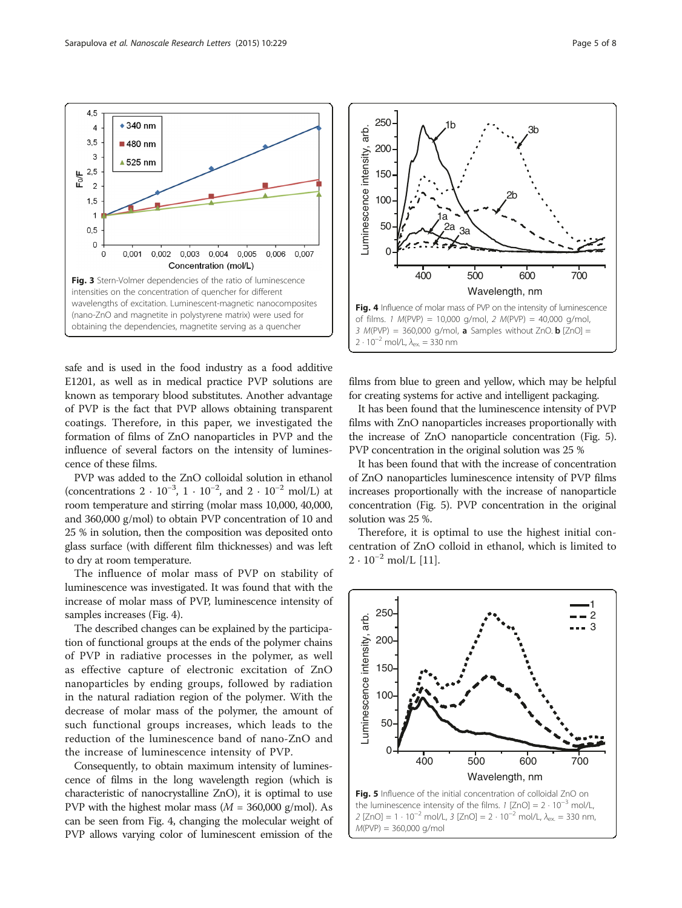<span id="page-4-0"></span> $4,5$ 

 $3,5$ 

 $2,5$  $F_0/F$  $\overline{c}$  $1.5$  $\overline{1}$  $0, 5$  $\Omega$  $\mathbf 0$ 

3

 $\overline{4}$ 

 $\div$  340 nm

■480 nm

▲525 nm

0,001

 $0,002$ 

safe and is used in the food industry as a food additive E1201, as well as in medical practice PVP solutions are known as temporary blood substitutes. Another advantage of PVP is the fact that PVP allows obtaining transparent coatings. Therefore, in this paper, we investigated the formation of films of ZnO nanoparticles in PVP and the influence of several factors on the intensity of luminescence of these films.

Fig. 3 Stern-Volmer dependencies of the ratio of luminescence intensities on the concentration of quencher for different wavelengths of excitation. Luminescent-magnetic nanocomposites (nano-ZnO and magnetite in polystyrene matrix) were used for obtaining the dependencies, magnetite serving as a quencher

0,003

0,004

Concentration (mol/L)

0,005

0,006

0.007

PVP was added to the ZnO colloidal solution in ethanol (concentrations  $2 \cdot 10^{-3}$ ,  $1 \cdot 10^{-2}$ , and  $2 \cdot 10^{-2}$  mol/L) at room temperature and stirring (molar mass 10,000, 40,000, and 360,000 g/mol) to obtain PVP concentration of 10 and 25 % in solution, then the composition was deposited onto glass surface (with different film thicknesses) and was left to dry at room temperature.

The influence of molar mass of PVP on stability of luminescence was investigated. It was found that with the increase of molar mass of PVP, luminescence intensity of samples increases (Fig. 4).

The described changes can be explained by the participation of functional groups at the ends of the polymer chains of PVP in radiative processes in the polymer, as well as effective capture of electronic excitation of ZnO nanoparticles by ending groups, followed by radiation in the natural radiation region of the polymer. With the decrease of molar mass of the polymer, the amount of such functional groups increases, which leads to the reduction of the luminescence band of nano-ZnO and the increase of luminescence intensity of PVP.

Consequently, to obtain maximum intensity of luminescence of films in the long wavelength region (which is characteristic of nanocrystalline ZnO), it is optimal to use PVP with the highest molar mass  $(M = 360,000 \text{ g/mol})$ . As can be seen from Fig. 4, changing the molecular weight of PVP allows varying color of luminescent emission of the

films from blue to green and yellow, which may be helpful for creating systems for active and intelligent packaging.

It has been found that the luminescence intensity of PVP films with ZnO nanoparticles increases proportionally with the increase of ZnO nanoparticle concentration (Fig. 5). PVP concentration in the original solution was 25 %

It has been found that with the increase of concentration of ZnO nanoparticles luminescence intensity of PVP films increases proportionally with the increase of nanoparticle concentration (Fig. 5). PVP concentration in the original solution was 25 %.

Therefore, it is optimal to use the highest initial concentration of ZnO colloid in ethanol, which is limited to  $2 \cdot 10^{-2}$  mol/L [\[11](#page-7-0)].





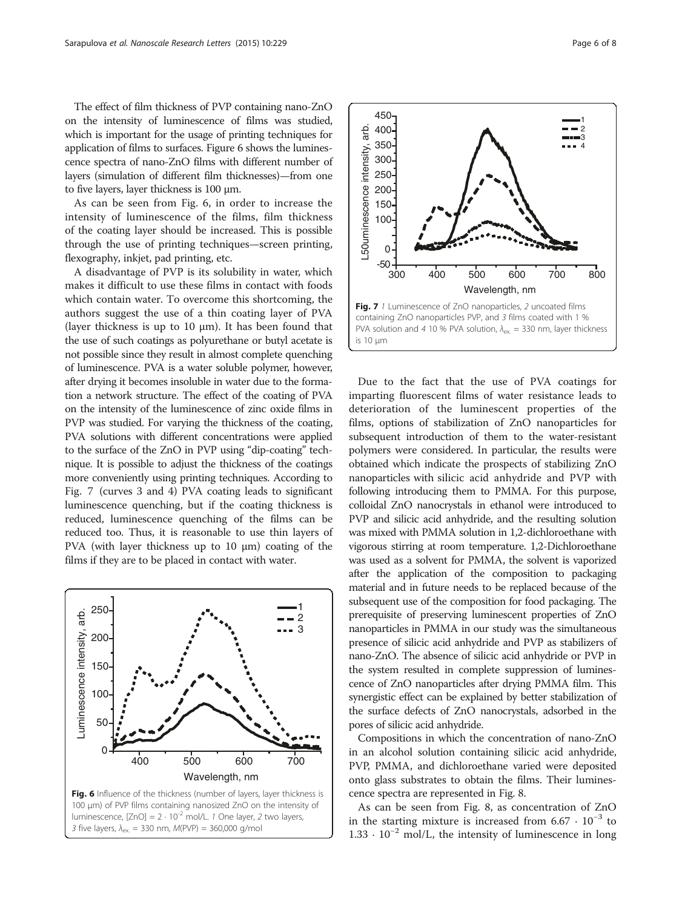The effect of film thickness of PVP containing nano-ZnO on the intensity of luminescence of films was studied, which is important for the usage of printing techniques for application of films to surfaces. Figure 6 shows the luminescence spectra of nano-ZnO films with different number of layers (simulation of different film thicknesses)—from one to five layers, layer thickness is 100 μm.

As can be seen from Fig. 6, in order to increase the intensity of luminescence of the films, film thickness of the coating layer should be increased. This is possible through the use of printing techniques—screen printing, flexography, inkjet, pad printing, etc.

A disadvantage of PVP is its solubility in water, which makes it difficult to use these films in contact with foods which contain water. To overcome this shortcoming, the authors suggest the use of a thin coating layer of PVA (layer thickness is up to 10  $\mu$ m). It has been found that the use of such coatings as polyurethane or butyl acetate is not possible since they result in almost complete quenching of luminescence. PVA is a water soluble polymer, however, after drying it becomes insoluble in water due to the formation a network structure. The effect of the coating of PVA on the intensity of the luminescence of zinc oxide films in PVP was studied. For varying the thickness of the coating, PVA solutions with different concentrations were applied to the surface of the ZnO in PVP using "dip-coating" technique. It is possible to adjust the thickness of the coatings more conveniently using printing techniques. According to Fig. 7 (curves 3 and 4) PVA coating leads to significant luminescence quenching, but if the coating thickness is reduced, luminescence quenching of the films can be reduced too. Thus, it is reasonable to use thin layers of PVA (with layer thickness up to 10 μm) coating of the films if they are to be placed in contact with water.





Due to the fact that the use of PVA coatings for imparting fluorescent films of water resistance leads to deterioration of the luminescent properties of the films, options of stabilization of ZnO nanoparticles for subsequent introduction of them to the water-resistant polymers were considered. In particular, the results were obtained which indicate the prospects of stabilizing ZnO nanoparticles with silicic acid anhydride and PVP with following introducing them to PMMA. For this purpose, colloidal ZnO nanocrystals in ethanol were introduced to PVP and silicic acid anhydride, and the resulting solution was mixed with PMMA solution in 1,2-dichloroethane with vigorous stirring at room temperature. 1,2-Dichloroethane was used as a solvent for PMMA, the solvent is vaporized after the application of the composition to packaging material and in future needs to be replaced because of the subsequent use of the composition for food packaging. The prerequisite of preserving luminescent properties of ZnO nanoparticles in PMMA in our study was the simultaneous presence of silicic acid anhydride and PVP as stabilizers of nano-ZnO. The absence of silicic acid anhydride or PVP in the system resulted in complete suppression of luminescence of ZnO nanoparticles after drying PMMA film. This synergistic effect can be explained by better stabilization of the surface defects of ZnO nanocrystals, adsorbed in the pores of silicic acid anhydride.

Compositions in which the concentration of nano-ZnO in an alcohol solution containing silicic acid anhydride, PVP, PMMA, and dichloroethane varied were deposited onto glass substrates to obtain the films. Their luminescence spectra are represented in Fig. [8](#page-6-0).

As can be seen from Fig. [8](#page-6-0), as concentration of ZnO in the starting mixture is increased from  $6.67 \cdot 10^{-3}$  to  $1.33 \cdot 10^{-2}$  mol/L, the intensity of luminescence in long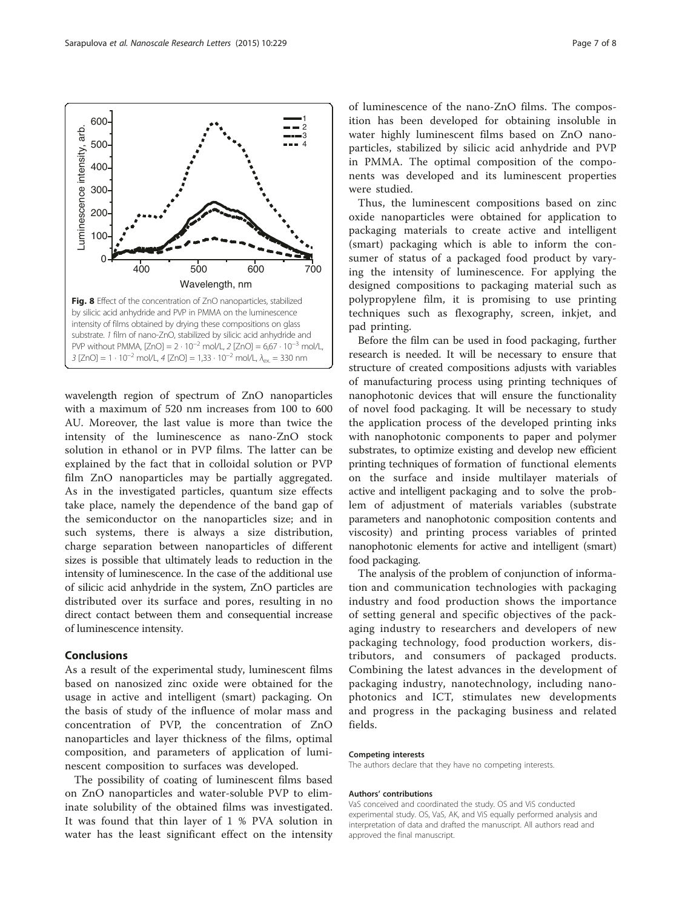<span id="page-6-0"></span>

wavelength region of spectrum of ZnO nanoparticles with a maximum of 520 nm increases from 100 to 600 AU. Moreover, the last value is more than twice the intensity of the luminescence as nano-ZnO stock solution in ethanol or in PVP films. The latter can be explained by the fact that in colloidal solution or PVP film ZnO nanoparticles may be partially aggregated. As in the investigated particles, quantum size effects take place, namely the dependence of the band gap of the semiconductor on the nanoparticles size; and in such systems, there is always a size distribution, charge separation between nanoparticles of different sizes is possible that ultimately leads to reduction in the intensity of luminescence. In the case of the additional use of silicic acid anhydride in the system, ZnO particles are distributed over its surface and pores, resulting in no direct contact between them and consequential increase of luminescence intensity.

# Conclusions

As a result of the experimental study, luminescent films based on nanosized zinc oxide were obtained for the usage in active and intelligent (smart) packaging. On the basis of study of the influence of molar mass and concentration of PVP, the concentration of ZnO nanoparticles and layer thickness of the films, optimal composition, and parameters of application of luminescent composition to surfaces was developed.

The possibility of coating of luminescent films based on ZnO nanoparticles and water-soluble PVP to eliminate solubility of the obtained films was investigated. It was found that thin layer of 1 % PVA solution in water has the least significant effect on the intensity

of luminescence of the nano-ZnO films. The composition has been developed for obtaining insoluble in water highly luminescent films based on ZnO nanoparticles, stabilized by silicic acid anhydride and PVP in PMMA. The optimal composition of the components was developed and its luminescent properties were studied.

Thus, the luminescent compositions based on zinc oxide nanoparticles were obtained for application to packaging materials to create active and intelligent (smart) packaging which is able to inform the consumer of status of a packaged food product by varying the intensity of luminescence. For applying the designed compositions to packaging material such as polypropylene film, it is promising to use printing techniques such as flexography, screen, inkjet, and pad printing.

Before the film can be used in food packaging, further research is needed. It will be necessary to ensure that structure of created compositions adjusts with variables of manufacturing process using printing techniques of nanophotonic devices that will ensure the functionality of novel food packaging. It will be necessary to study the application process of the developed printing inks with nanophotonic components to paper and polymer substrates, to optimize existing and develop new efficient printing techniques of formation of functional elements on the surface and inside multilayer materials of active and intelligent packaging and to solve the problem of adjustment of materials variables (substrate parameters and nanophotonic composition contents and viscosity) and printing process variables of printed nanophotonic elements for active and intelligent (smart) food packaging.

The analysis of the problem of conjunction of information and communication technologies with packaging industry and food production shows the importance of setting general and specific objectives of the packaging industry to researchers and developers of new packaging technology, food production workers, distributors, and consumers of packaged products. Combining the latest advances in the development of packaging industry, nanotechnology, including nanophotonics and ICT, stimulates new developments and progress in the packaging business and related fields.

#### Competing interests

The authors declare that they have no competing interests.

#### Authors' contributions

VaS conceived and coordinated the study. OS and ViS conducted experimental study. OS, VaS, AK, and ViS equally performed analysis and interpretation of data and drafted the manuscript. All authors read and approved the final manuscript.